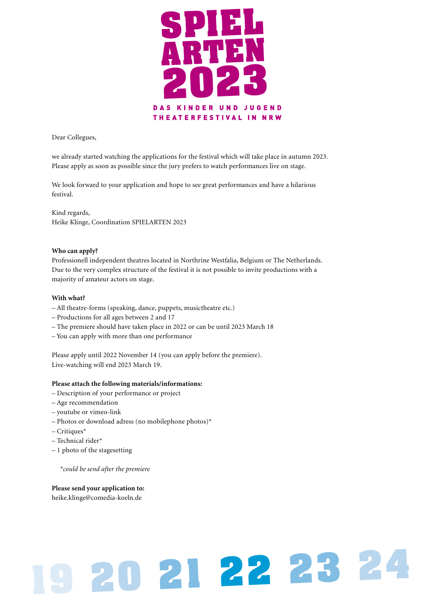

#### Dear Collegues,

we already started watching the applications for the festival which will take place in autumn 2023. Please apply as soon as possible since the jury prefers to watch performances live on stage.

We look forward to your application and hope to see great performances and have a hilarious festival.

Kind regards, Heike Klinge, Coordination SPIELARTEN 2023

#### **Who can apply?**

Professionell independent theatres located in Northrine Westfalia, Belgium or The Netherlands. Due to the very complex structure of the festival it is not possible to invite productions with a majority of amateur actors on stage.

#### **With what?**

- All theatre-forms (speaking, dance, puppets, musictheatre etc.)
- Productions for all ages between 2 and 17
- The premiere should have taken place in 2022 or can be until 2023 March 18
- You can apply with more than one performance

Please apply until 2022 November 14 (you can apply before the premiere). Live-watching will end 2023 March 19.

#### **Please attach the following materials/informations:**

- Description of your performance or project
- Age recommendation
- youtube or vimeo-link
- Photos or download adress (no mobilephone photos)\*
- $-$  Critiques<sup>\*</sup>
- Technical rider\*
- 1 photo of the stagesetting

*\*could be send after the premiere*

### **Please send your application to:**

heike.klinge@comedia-koeln.de

# **<sup>19</sup> <sup>20</sup> <sup>21</sup> <sup>22</sup> 23 24**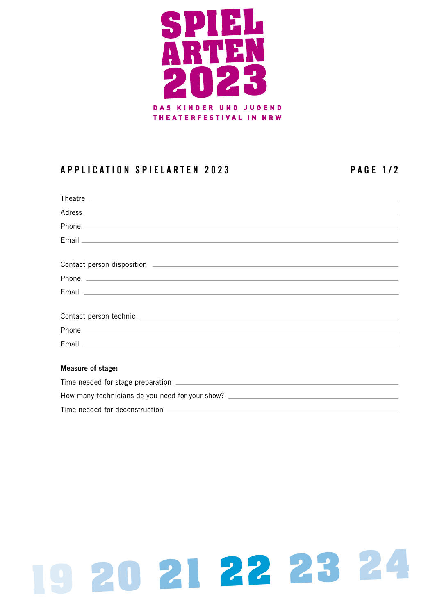

## **APPLICATION SPIELARTEN 2023 PAGE 1/2**

| Measure of stage: |
|-------------------|
|                   |

| How many technicians do you need for your show? |  |
|-------------------------------------------------|--|
| Time needed for deconstruction                  |  |